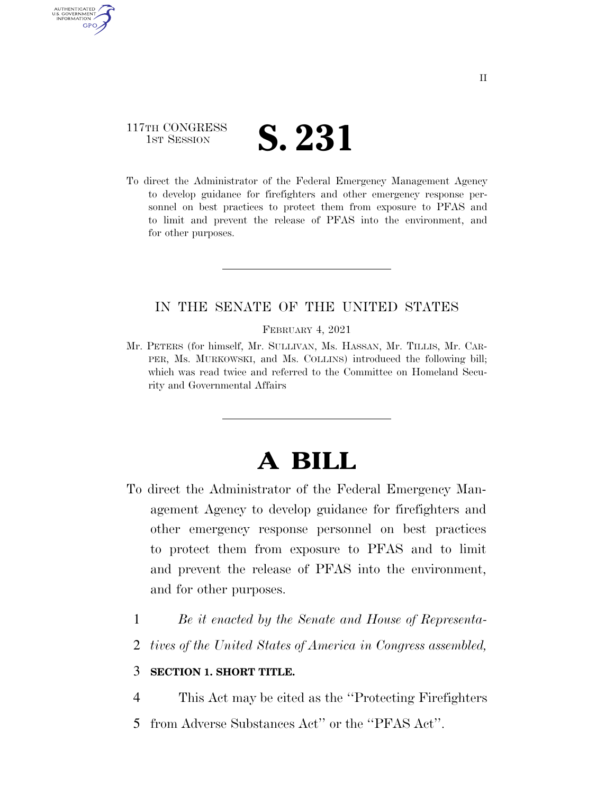### 117TH CONGRESS TH CONGRESS **S. 231**

AUTHENTICATED U.S. GOVERNMENT **GPO** 

> To direct the Administrator of the Federal Emergency Management Agency to develop guidance for firefighters and other emergency response personnel on best practices to protect them from exposure to PFAS and to limit and prevent the release of PFAS into the environment, and for other purposes.

#### IN THE SENATE OF THE UNITED STATES

FEBRUARY 4, 2021

Mr. PETERS (for himself, Mr. SULLIVAN, Ms. HASSAN, Mr. TILLIS, Mr. CAR-PER, Ms. MURKOWSKI, and Ms. COLLINS) introduced the following bill; which was read twice and referred to the Committee on Homeland Security and Governmental Affairs

# **A BILL**

- To direct the Administrator of the Federal Emergency Management Agency to develop guidance for firefighters and other emergency response personnel on best practices to protect them from exposure to PFAS and to limit and prevent the release of PFAS into the environment, and for other purposes.
	- 1 *Be it enacted by the Senate and House of Representa-*
	- 2 *tives of the United States of America in Congress assembled,*

### 3 **SECTION 1. SHORT TITLE.**

- 4 This Act may be cited as the ''Protecting Firefighters
- 5 from Adverse Substances Act'' or the ''PFAS Act''.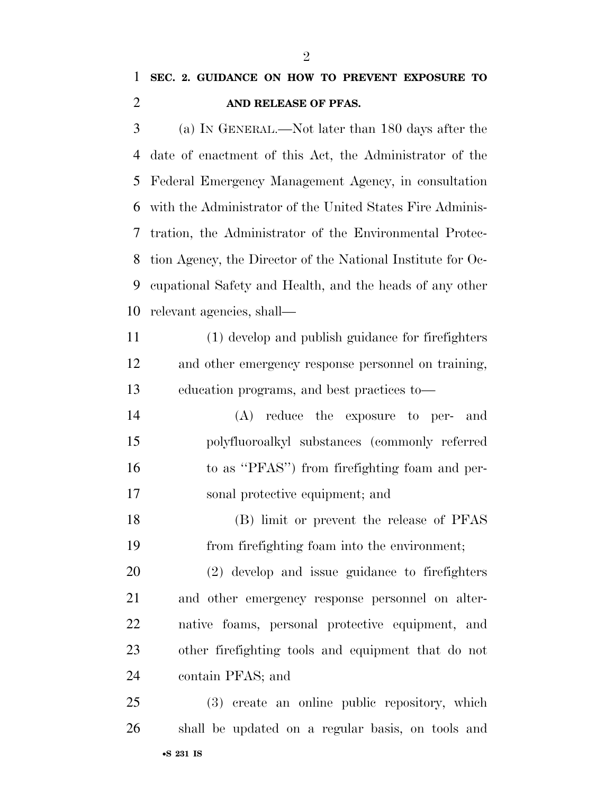## **SEC. 2. GUIDANCE ON HOW TO PREVENT EXPOSURE TO AND RELEASE OF PFAS.**

 (a) IN GENERAL.—Not later than 180 days after the date of enactment of this Act, the Administrator of the Federal Emergency Management Agency, in consultation with the Administrator of the United States Fire Adminis- tration, the Administrator of the Environmental Protec- tion Agency, the Director of the National Institute for Oc- cupational Safety and Health, and the heads of any other relevant agencies, shall—

 (1) develop and publish guidance for firefighters and other emergency response personnel on training, education programs, and best practices to—

 (A) reduce the exposure to per- and polyfluoroalkyl substances (commonly referred to as ''PFAS'') from firefighting foam and per-sonal protective equipment; and

 (B) limit or prevent the release of PFAS from firefighting foam into the environment;

 (2) develop and issue guidance to firefighters and other emergency response personnel on alter- native foams, personal protective equipment, and other firefighting tools and equipment that do not contain PFAS; and

•**S 231 IS** (3) create an online public repository, which shall be updated on a regular basis, on tools and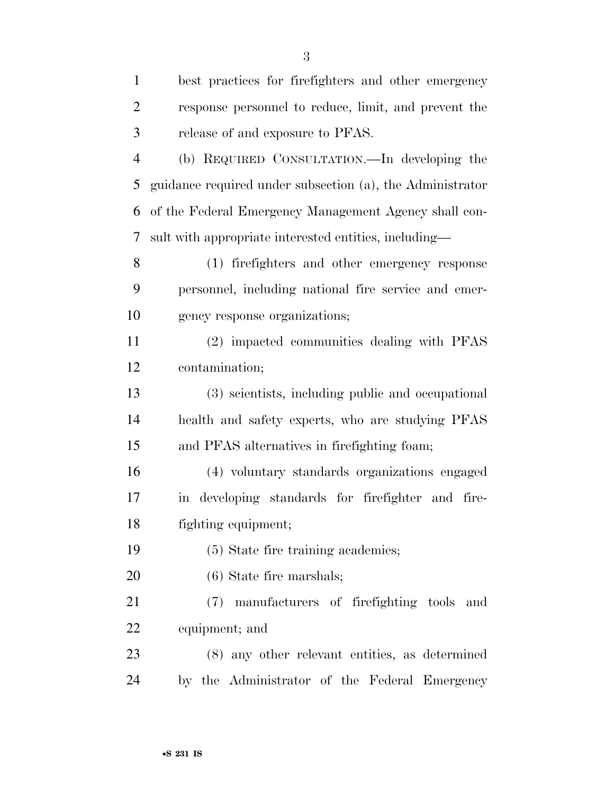| $\mathbf{1}$   | best practices for firefighters and other emergency       |
|----------------|-----------------------------------------------------------|
| $\overline{2}$ | response personnel to reduce, limit, and prevent the      |
| 3              | release of and exposure to PFAS.                          |
| $\overline{4}$ | (b) REQUIRED CONSULTATION.—In developing the              |
| 5              | guidance required under subsection (a), the Administrator |
| 6              | of the Federal Emergency Management Agency shall con-     |
| 7              | sult with appropriate interested entities, including—     |
| 8              | (1) firefighters and other emergency response             |
| 9              | personnel, including national fire service and emer-      |
| 10             | gency response organizations;                             |
| 11             | (2) impacted communities dealing with PFAS                |
| 12             | contamination;                                            |
| 13             | (3) scientists, including public and occupational         |
| 14             | health and safety experts, who are studying PFAS          |
| 15             | and PFAS alternatives in firefighting foam;               |
| 16             | (4) voluntary standards organizations engaged             |
| 17             | in developing standards for firefighter and fire-         |
| 18             | fighting equipment;                                       |
| 19             | (5) State fire training academies;                        |
| 20             | $(6)$ State fire marshals;                                |
| 21             | manufacturers of firefighting tools<br>(7)<br>and         |
| 22             | equipment; and                                            |
| 23             | (8) any other relevant entities, as determined            |
| 24             | by the Administrator of the Federal Emergency             |

•**S 231 IS**

 $\Omega$